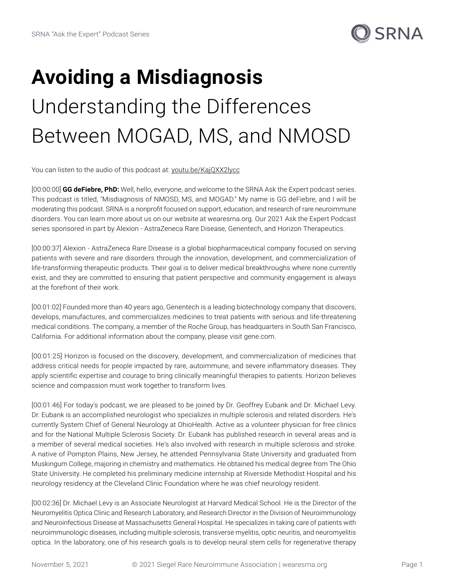

## **Avoiding a Misdiagnosis** Understanding the Differences Between MOGAD, MS, and NMOSD

You can listen to the audio of this podcast at: [youtu.be/KajQXX2lycc](https://youtu.be/KajQXX2lycc)

[00:00:00] **GG deFiebre, PhD:** Well, hello, everyone, and welcome to the SRNA Ask the Expert podcast series. This podcast is titled, "Misdiagnosis of NMOSD, MS, and MOGAD." My name is GG deFiebre, and I will be moderating this podcast. SRNA is a nonprofit focused on support, education, and research of rare neuroimmune disorders. You can learn more about us on our website at wearesrna.org. Our 2021 Ask the Expert Podcast series sponsored in part by Alexion - AstraZeneca Rare Disease, Genentech, and Horizon Therapeutics.

[00:00:37] Alexion - AstraZeneca Rare Disease is a global biopharmaceutical company focused on serving patients with severe and rare disorders through the innovation, development, and commercialization of life-transforming therapeutic products. Their goal is to deliver medical breakthroughs where none currently exist, and they are committed to ensuring that patient perspective and community engagement is always at the forefront of their work.

[00:01:02] Founded more than 40 years ago, Genentech is a leading biotechnology company that discovers, develops, manufactures, and commercializes medicines to treat patients with serious and life-threatening medical conditions. The company, a member of the Roche Group, has headquarters in South San Francisco, California. For additional information about the company, please visit gene.com.

[00:01:25] Horizon is focused on the discovery, development, and commercialization of medicines that address critical needs for people impacted by rare, autoimmune, and severe inflammatory diseases. They apply scientific expertise and courage to bring clinically meaningful therapies to patients. Horizon believes science and compassion must work together to transform lives.

[00:01:46] For today's podcast, we are pleased to be joined by Dr. Geoffrey Eubank and Dr. Michael Levy. Dr. Eubank is an accomplished neurologist who specializes in multiple sclerosis and related disorders. He's currently System Chief of General Neurology at OhioHealth. Active as a volunteer physician for free clinics and for the National Multiple Sclerosis Society. Dr. Eubank has published research in several areas and is a member of several medical societies. He's also involved with research in multiple sclerosis and stroke. A native of Pompton Plains, New Jersey, he attended Pennsylvania State University and graduated from Muskingum College, majoring in chemistry and mathematics. He obtained his medical degree from The Ohio State University. He completed his preliminary medicine internship at Riverside Methodist Hospital and his neurology residency at the Cleveland Clinic Foundation where he was chief neurology resident.

[00:02:36] Dr. Michael Levy is an Associate Neurologist at Harvard Medical School. He is the Director of the Neuromyelitis Optica Clinic and Research Laboratory, and Research Director in the Division of Neuroimmunology and Neuroinfectious Disease at Massachusetts General Hospital. He specializes in taking care of patients with neuroimmunologic diseases, including multiple sclerosis, transverse myelitis, optic neuritis, and neuromyelitis optica. In the laboratory, one of his research goals is to develop neural stem cells for regenerative therapy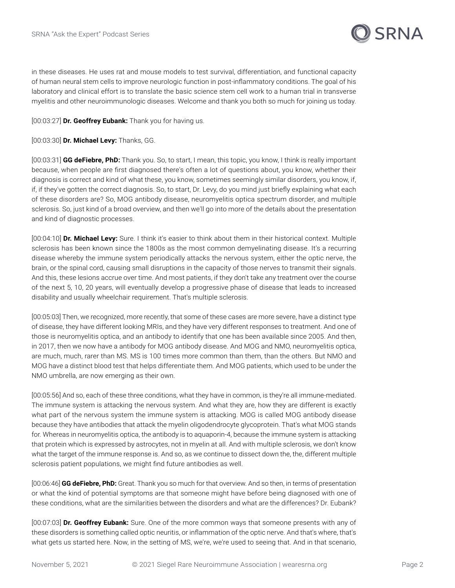

in these diseases. He uses rat and mouse models to test survival, differentiation, and functional capacity of human neural stem cells to improve neurologic function in post-inflammatory conditions. The goal of his laboratory and clinical effort is to translate the basic science stem cell work to a human trial in transverse myelitis and other neuroimmunologic diseases. Welcome and thank you both so much for joining us today.

[00:03:27] **Dr. Geoffrey Eubank:** Thank you for having us.

[00:03:30] **Dr. Michael Levy:** Thanks, GG.

[00:03:31] **GG deFiebre, PhD:** Thank you. So, to start, I mean, this topic, you know, I think is really important because, when people are first diagnosed there's often a lot of questions about, you know, whether their diagnosis is correct and kind of what these, you know, sometimes seemingly similar disorders, you know, if, if, if they've gotten the correct diagnosis. So, to start, Dr. Levy, do you mind just briefly explaining what each of these disorders are? So, MOG antibody disease, neuromyelitis optica spectrum disorder, and multiple sclerosis. So, just kind of a broad overview, and then we'll go into more of the details about the presentation and kind of diagnostic processes.

[00:04:10] **Dr. Michael Levy:** Sure. I think it's easier to think about them in their historical context. Multiple sclerosis has been known since the 1800s as the most common demyelinating disease. It's a recurring disease whereby the immune system periodically attacks the nervous system, either the optic nerve, the brain, or the spinal cord, causing small disruptions in the capacity of those nerves to transmit their signals. And this, these lesions accrue over time. And most patients, if they don't take any treatment over the course of the next 5, 10, 20 years, will eventually develop a progressive phase of disease that leads to increased disability and usually wheelchair requirement. That's multiple sclerosis.

[00:05:03] Then, we recognized, more recently, that some of these cases are more severe, have a distinct type of disease, they have different looking MRIs, and they have very different responses to treatment. And one of those is neuromyelitis optica, and an antibody to identify that one has been available since 2005. And then, in 2017, then we now have a antibody for MOG antibody disease. And MOG and NMO, neuromyelitis optica, are much, much, rarer than MS. MS is 100 times more common than them, than the others. But NMO and MOG have a distinct blood test that helps differentiate them. And MOG patients, which used to be under the NMO umbrella, are now emerging as their own.

[00:05:56] And so, each of these three conditions, what they have in common, is they're all immune-mediated. The immune system is attacking the nervous system. And what they are, how they are different is exactly what part of the nervous system the immune system is attacking. MOG is called MOG antibody disease because they have antibodies that attack the myelin oligodendrocyte glycoprotein. That's what MOG stands for. Whereas in neuromyelitis optica, the antibody is to aquaporin-4, because the immune system is attacking that protein which is expressed by astrocytes, not in myelin at all. And with multiple sclerosis, we don't know what the target of the immune response is. And so, as we continue to dissect down the, the, different multiple sclerosis patient populations, we might find future antibodies as well.

[00:06:46] **GG deFiebre, PhD:** Great. Thank you so much for that overview. And so then, in terms of presentation or what the kind of potential symptoms are that someone might have before being diagnosed with one of these conditions, what are the similarities between the disorders and what are the differences? Dr. Eubank?

[00:07:03] **Dr. Geoffrey Eubank:** Sure. One of the more common ways that someone presents with any of these disorders is something called optic neuritis, or inflammation of the optic nerve. And that's where, that's what gets us started here. Now, in the setting of MS, we're, we're used to seeing that. And in that scenario,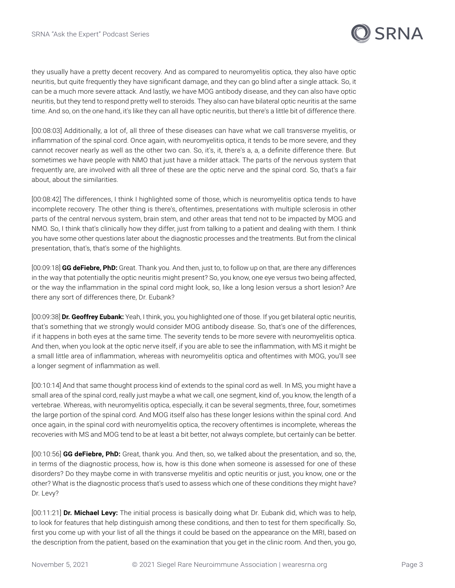

they usually have a pretty decent recovery. And as compared to neuromyelitis optica, they also have optic neuritis, but quite frequently they have significant damage, and they can go blind after a single attack. So, it can be a much more severe attack. And lastly, we have MOG antibody disease, and they can also have optic neuritis, but they tend to respond pretty well to steroids. They also can have bilateral optic neuritis at the same time. And so, on the one hand, it's like they can all have optic neuritis, but there's a little bit of difference there.

[00:08:03] Additionally, a lot of, all three of these diseases can have what we call transverse myelitis, or inflammation of the spinal cord. Once again, with neuromyelitis optica, it tends to be more severe, and they cannot recover nearly as well as the other two can. So, it's, it, there's a, a, a definite difference there. But sometimes we have people with NMO that just have a milder attack. The parts of the nervous system that frequently are, are involved with all three of these are the optic nerve and the spinal cord. So, that's a fair about, about the similarities.

[00:08:42] The differences, I think I highlighted some of those, which is neuromyelitis optica tends to have incomplete recovery. The other thing is there's, oftentimes, presentations with multiple sclerosis in other parts of the central nervous system, brain stem, and other areas that tend not to be impacted by MOG and NMO. So, I think that's clinically how they differ, just from talking to a patient and dealing with them. I think you have some other questions later about the diagnostic processes and the treatments. But from the clinical presentation, that's, that's some of the highlights.

[00:09:18] **GG deFiebre, PhD:** Great. Thank you. And then, just to, to follow up on that, are there any differences in the way that potentially the optic neuritis might present? So, you know, one eye versus two being affected, or the way the inflammation in the spinal cord might look, so, like a long lesion versus a short lesion? Are there any sort of differences there, Dr. Eubank?

[00:09:38] **Dr. Geoffrey Eubank:** Yeah, I think, you, you highlighted one of those. If you get bilateral optic neuritis, that's something that we strongly would consider MOG antibody disease. So, that's one of the differences, if it happens in both eyes at the same time. The severity tends to be more severe with neuromyelitis optica. And then, when you look at the optic nerve itself, if you are able to see the inflammation, with MS it might be a small little area of inflammation, whereas with neuromyelitis optica and oftentimes with MOG, you'll see a longer segment of inflammation as well.

[00:10:14] And that same thought process kind of extends to the spinal cord as well. In MS, you might have a small area of the spinal cord, really just maybe a what we call, one segment, kind of, you know, the length of a vertebrae. Whereas, with neuromyelitis optica, especially, it can be several segments, three, four, sometimes the large portion of the spinal cord. And MOG itself also has these longer lesions within the spinal cord. And once again, in the spinal cord with neuromyelitis optica, the recovery oftentimes is incomplete, whereas the recoveries with MS and MOG tend to be at least a bit better, not always complete, but certainly can be better.

[00:10:56] **GG deFiebre, PhD:** Great, thank you. And then, so, we talked about the presentation, and so, the, in terms of the diagnostic process, how is, how is this done when someone is assessed for one of these disorders? Do they maybe come in with transverse myelitis and optic neuritis or just, you know, one or the other? What is the diagnostic process that's used to assess which one of these conditions they might have? Dr. Levy?

[00:11:21] **Dr. Michael Levy:** The initial process is basically doing what Dr. Eubank did, which was to help, to look for features that help distinguish among these conditions, and then to test for them specifically. So, first you come up with your list of all the things it could be based on the appearance on the MRI, based on the description from the patient, based on the examination that you get in the clinic room. And then, you go,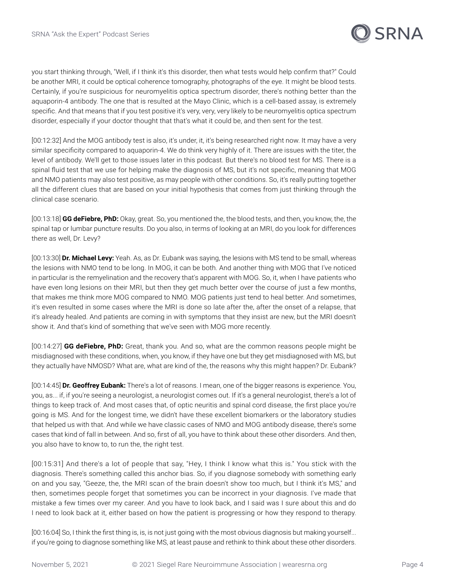

you start thinking through, "Well, if I think it's this disorder, then what tests would help confirm that?" Could be another MRI, it could be optical coherence tomography, photographs of the eye. It might be blood tests. Certainly, if you're suspicious for neuromyelitis optica spectrum disorder, there's nothing better than the aquaporin-4 antibody. The one that is resulted at the Mayo Clinic, which is a cell-based assay, is extremely specific. And that means that if you test positive it's very, very, very likely to be neuromyelitis optica spectrum disorder, especially if your doctor thought that that's what it could be, and then sent for the test.

[00:12:32] And the MOG antibody test is also, it's under, it, it's being researched right now. It may have a very similar specificity compared to aquaporin-4. We do think very highly of it. There are issues with the titer, the level of antibody. We'll get to those issues later in this podcast. But there's no blood test for MS. There is a spinal fluid test that we use for helping make the diagnosis of MS, but it's not specific, meaning that MOG and NMO patients may also test positive, as may people with other conditions. So, it's really putting together all the different clues that are based on your initial hypothesis that comes from just thinking through the clinical case scenario.

[00:13:18] **GG deFiebre, PhD:** Okay, great. So, you mentioned the, the blood tests, and then, you know, the, the spinal tap or lumbar puncture results. Do you also, in terms of looking at an MRI, do you look for differences there as well, Dr. Levy?

[00:13:30] **Dr. Michael Levy:** Yeah. As, as Dr. Eubank was saying, the lesions with MS tend to be small, whereas the lesions with NMO tend to be long. In MOG, it can be both. And another thing with MOG that I've noticed in particular is the remyelination and the recovery that's apparent with MOG. So, it, when I have patients who have even long lesions on their MRI, but then they get much better over the course of just a few months, that makes me think more MOG compared to NMO. MOG patients just tend to heal better. And sometimes, it's even resulted in some cases where the MRI is done so late after the, after the onset of a relapse, that it's already healed. And patients are coming in with symptoms that they insist are new, but the MRI doesn't show it. And that's kind of something that we've seen with MOG more recently.

[00:14:27] **GG deFiebre, PhD:** Great, thank you. And so, what are the common reasons people might be misdiagnosed with these conditions, when, you know, if they have one but they get misdiagnosed with MS, but they actually have NMOSD? What are, what are kind of the, the reasons why this might happen? Dr. Eubank?

[00:14:45] **Dr. Geoffrey Eubank:** There's a lot of reasons. I mean, one of the bigger reasons is experience. You, you, as... if, if you're seeing a neurologist, a neurologist comes out. If it's a general neurologist, there's a lot of things to keep track of. And most cases that, of optic neuritis and spinal cord disease, the first place you're going is MS. And for the longest time, we didn't have these excellent biomarkers or the laboratory studies that helped us with that. And while we have classic cases of NMO and MOG antibody disease, there's some cases that kind of fall in between. And so, first of all, you have to think about these other disorders. And then, you also have to know to, to run the, the right test.

[00:15:31] And there's a lot of people that say, "Hey, I think I know what this is." You stick with the diagnosis. There's something called this anchor bias. So, if you diagnose somebody with something early on and you say, "Geeze, the, the MRI scan of the brain doesn't show too much, but I think it's MS," and then, sometimes people forget that sometimes you can be incorrect in your diagnosis. I've made that mistake a few times over my career. And you have to look back, and I said was I sure about this and do I need to look back at it, either based on how the patient is progressing or how they respond to therapy.

[00:16:04] So, I think the first thing is, is, is not just going with the most obvious diagnosis but making yourself... if you're going to diagnose something like MS, at least pause and rethink to think about these other disorders.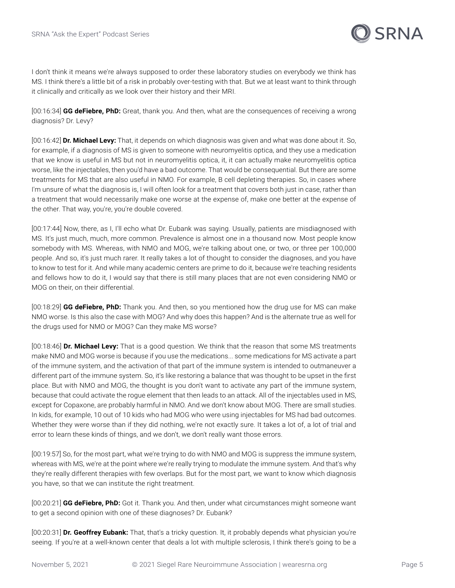

I don't think it means we're always supposed to order these laboratory studies on everybody we think has MS. I think there's a little bit of a risk in probably over-testing with that. But we at least want to think through it clinically and critically as we look over their history and their MRI.

[00:16:34] **GG deFiebre, PhD:** Great, thank you. And then, what are the consequences of receiving a wrong diagnosis? Dr. Levy?

[00:16:42] **Dr. Michael Levy:** That, it depends on which diagnosis was given and what was done about it. So, for example, if a diagnosis of MS is given to someone with neuromyelitis optica, and they use a medication that we know is useful in MS but not in neuromyelitis optica, it, it can actually make neuromyelitis optica worse, like the injectables, then you'd have a bad outcome. That would be consequential. But there are some treatments for MS that are also useful in NMO. For example, B cell depleting therapies. So, in cases where I'm unsure of what the diagnosis is, I will often look for a treatment that covers both just in case, rather than a treatment that would necessarily make one worse at the expense of, make one better at the expense of the other. That way, you're, you're double covered.

[00:17:44] Now, there, as I, I'll echo what Dr. Eubank was saying. Usually, patients are misdiagnosed with MS. It's just much, much, more common. Prevalence is almost one in a thousand now. Most people know somebody with MS. Whereas, with NMO and MOG, we're talking about one, or two, or three per 100,000 people. And so, it's just much rarer. It really takes a lot of thought to consider the diagnoses, and you have to know to test for it. And while many academic centers are prime to do it, because we're teaching residents and fellows how to do it, I would say that there is still many places that are not even considering NMO or MOG on their, on their differential.

[00:18:29] **GG deFiebre, PhD:** Thank you. And then, so you mentioned how the drug use for MS can make NMO worse. Is this also the case with MOG? And why does this happen? And is the alternate true as well for the drugs used for NMO or MOG? Can they make MS worse?

[00:18:46] **Dr. Michael Levy:** That is a good question. We think that the reason that some MS treatments make NMO and MOG worse is because if you use the medications... some medications for MS activate a part of the immune system, and the activation of that part of the immune system is intended to outmaneuver a different part of the immune system. So, it's like restoring a balance that was thought to be upset in the first place. But with NMO and MOG, the thought is you don't want to activate any part of the immune system, because that could activate the rogue element that then leads to an attack. All of the injectables used in MS, except for Copaxone, are probably harmful in NMO. And we don't know about MOG. There are small studies. In kids, for example, 10 out of 10 kids who had MOG who were using injectables for MS had bad outcomes. Whether they were worse than if they did nothing, we're not exactly sure. It takes a lot of, a lot of trial and error to learn these kinds of things, and we don't, we don't really want those errors.

[00:19:57] So, for the most part, what we're trying to do with NMO and MOG is suppress the immune system, whereas with MS, we're at the point where we're really trying to modulate the immune system. And that's why they're really different therapies with few overlaps. But for the most part, we want to know which diagnosis you have, so that we can institute the right treatment.

[00:20:21] **GG deFiebre, PhD:** Got it. Thank you. And then, under what circumstances might someone want to get a second opinion with one of these diagnoses? Dr. Eubank?

[00:20:31] **Dr. Geoffrey Eubank:** That, that's a tricky question. It, it probably depends what physician you're seeing. If you're at a well-known center that deals a lot with multiple sclerosis, I think there's going to be a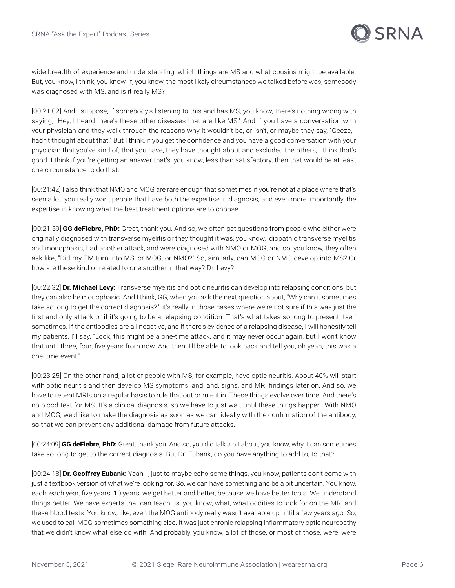

wide breadth of experience and understanding, which things are MS and what cousins might be available. But, you know, I think, you know, if, you know, the most likely circumstances we talked before was, somebody was diagnosed with MS, and is it really MS?

[00:21:02] And I suppose, if somebody's listening to this and has MS, you know, there's nothing wrong with saying, "Hey, I heard there's these other diseases that are like MS." And if you have a conversation with your physician and they walk through the reasons why it wouldn't be, or isn't, or maybe they say, "Geeze, I hadn't thought about that." But I think, if you get the confidence and you have a good conversation with your physician that you've kind of, that you have, they have thought about and excluded the others, I think that's good. I think if you're getting an answer that's, you know, less than satisfactory, then that would be at least one circumstance to do that.

[00:21:42] I also think that NMO and MOG are rare enough that sometimes if you're not at a place where that's seen a lot, you really want people that have both the expertise in diagnosis, and even more importantly, the expertise in knowing what the best treatment options are to choose.

[00:21:59] **GG deFiebre, PhD:** Great, thank you. And so, we often get questions from people who either were originally diagnosed with transverse myelitis or they thought it was, you know, idiopathic transverse myelitis and monophasic, had another attack, and were diagnosed with NMO or MOG, and so, you know, they often ask like, "Did my TM turn into MS, or MOG, or NMO?" So, similarly, can MOG or NMO develop into MS? Or how are these kind of related to one another in that way? Dr. Levy?

[00:22:32] **Dr. Michael Levy:** Transverse myelitis and optic neuritis can develop into relapsing conditions, but they can also be monophasic. And I think, GG, when you ask the next question about, "Why can it sometimes take so long to get the correct diagnosis?", it's really in those cases where we're not sure if this was just the first and only attack or if it's going to be a relapsing condition. That's what takes so long to present itself sometimes. If the antibodies are all negative, and if there's evidence of a relapsing disease, I will honestly tell my patients, I'll say, "Look, this might be a one-time attack, and it may never occur again, but I won't know that until three, four, five years from now. And then, I'll be able to look back and tell you, oh yeah, this was a one-time event."

[00:23:25] On the other hand, a lot of people with MS, for example, have optic neuritis. About 40% will start with optic neuritis and then develop MS symptoms, and, and, signs, and MRI findings later on. And so, we have to repeat MRIs on a regular basis to rule that out or rule it in. These things evolve over time. And there's no blood test for MS. It's a clinical diagnosis, so we have to just wait until these things happen. With NMO and MOG, we'd like to make the diagnosis as soon as we can, ideally with the confirmation of the antibody, so that we can prevent any additional damage from future attacks.

[00:24:09] **GG deFiebre, PhD:** Great, thank you. And so, you did talk a bit about, you know, why it can sometimes take so long to get to the correct diagnosis. But Dr. Eubank, do you have anything to add to, to that?

[00:24:18] **Dr. Geoffrey Eubank:** Yeah, I, just to maybe echo some things, you know, patients don't come with just a textbook version of what we're looking for. So, we can have something and be a bit uncertain. You know, each, each year, five years, 10 years, we get better and better, because we have better tools. We understand things better. We have experts that can teach us, you know, what, what oddities to look for on the MRI and these blood tests. You know, like, even the MOG antibody really wasn't available up until a few years ago. So, we used to call MOG sometimes something else. It was just chronic relapsing inflammatory optic neuropathy that we didn't know what else do with. And probably, you know, a lot of those, or most of those, were, were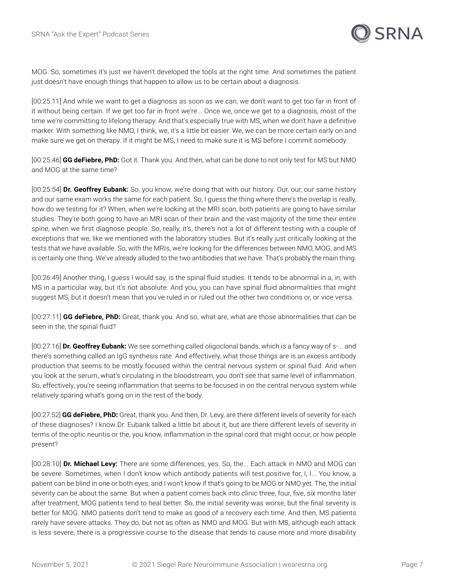

MOG. So, sometimes it's just we haven't developed the tools at the right time. And sometimes the patient just doesn't have enough things that happen to allow us to be certain about a diagnosis.

[00:25:11] And while we want to get a diagnosis as soon as we can, we don't want to get too far in front of it without being certain. If we get too far in front we're... Once we, once we get to a diagnosis, most of the time we're committing to lifelong therapy. And that's especially true with MS, when we don't have a definitive marker. With something like NMO, I think, we, it's a little bit easier. We, we can be more certain early on and make sure we get on therapy. If it might be MS, I need to make sure it is MS before I commit somebody.

[00:25:46] **GG deFiebre, PhD:** Got it. Thank you. And then, what can be done to not only test for MS but NMO and MOG at the same time?

[00:25:54] **Dr. Geoffrey Eubank:** So, you know, we're doing that with our history. Our, our, our same history and our same exam works the same for each patient. So, I guess the thing where there's the overlap is really, how do we testing for it? When, when we're looking at the MRI scan, both patients are going to have similar studies. They're both going to have an MRI scan of their brain and the vast majority of the time their entire spine, when we first diagnose people. So, really, it's, there's not a lot of different testing with a couple of exceptions that we, like we mentioned with the laboratory studies. But it's really just critically looking at the tests that we have available. So, with the MRIs, we're looking for the differences between NMO, MOG, and MS is certainly one thing. We've already alluded to the two antibodies that we have. That's probably the main thing.

[00:26:49] Another thing, I guess I would say, is the spinal fluid studies. It tends to be abnormal in a, in, with MS in a particular way, but it's not absolute. And you, you can have spinal fluid abnormalities that might suggest MS, but it doesn't mean that you've ruled in or ruled out the other two conditions or, or vice versa.

[00:27:11] **GG deFiebre, PhD:** Great, thank you. And so, what are, what are those abnormalities that can be seen in the, the spinal fluid?

[00:27:16] **Dr. Geoffrey Eubank:** We see something called oligoclonal bands, which is a fancy way of s-... and there's something called an IgG synthesis rate. And effectively, what those things are is an excess antibody production that seems to be mostly focused within the central nervous system or spinal fluid. And when you look at the serum, what's circulating in the bloodstream, you don't see that same level of inflammation. So, effectively, you're seeing inflammation that seems to be focused in on the central nervous system while relatively sparing what's going on in the rest of the body.

[00:27:52] **GG deFiebre, PhD:** Great, thank you. And then, Dr. Levy, are there different levels of severity for each of these diagnoses? I know Dr. Eubank talked a little bit about it, but are there different levels of severity in terms of the optic neuritis or the, you know, inflammation in the spinal cord that might occur, or how people present?

[00:28:10] **Dr. Michael Levy:** There are some differences, yes. So, the... Each attack in NMO and MOG can be severe. Sometimes, when I don't know which antibody patients will test positive for, I, I... You know, a patient can be blind in one or both eyes, and I won't know if that's going to be MOG or NMO yet. The, the initial severity can be about the same. But when a patient comes back into clinic three, four, five, six months later after treatment, MOG patients tend to heal better. So, the initial severity was worse, but the final severity is better for MOG. NMO patients don't tend to make as good of a recovery each time. And then, MS patients rarely have severe attacks. They do, but not as often as NMO and MOG. But with MS, although each attack is less severe, there is a progressive course to the disease that tends to cause more and more disability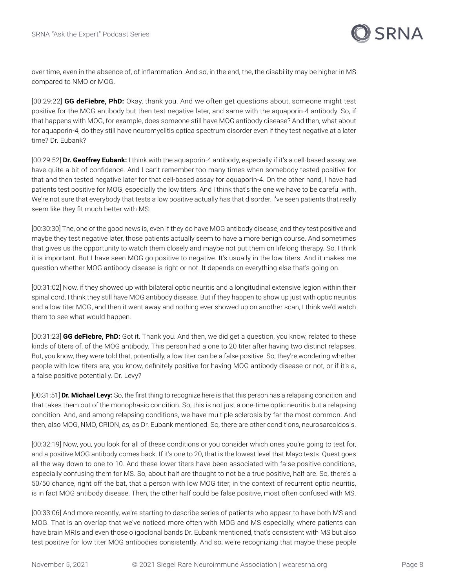

over time, even in the absence of, of inflammation. And so, in the end, the, the disability may be higher in MS compared to NMO or MOG.

[00:29:22] **GG deFiebre, PhD:** Okay, thank you. And we often get questions about, someone might test positive for the MOG antibody but then test negative later, and same with the aquaporin-4 antibody. So, if that happens with MOG, for example, does someone still have MOG antibody disease? And then, what about for aquaporin-4, do they still have neuromyelitis optica spectrum disorder even if they test negative at a later time? Dr. Eubank?

[00:29:52] **Dr. Geoffrey Eubank:** I think with the aquaporin-4 antibody, especially if it's a cell-based assay, we have quite a bit of confidence. And I can't remember too many times when somebody tested positive for that and then tested negative later for that cell-based assay for aquaporin-4. On the other hand, I have had patients test positive for MOG, especially the low titers. And I think that's the one we have to be careful with. We're not sure that everybody that tests a low positive actually has that disorder. I've seen patients that really seem like they fit much better with MS.

[00:30:30] The, one of the good news is, even if they do have MOG antibody disease, and they test positive and maybe they test negative later, those patients actually seem to have a more benign course. And sometimes that gives us the opportunity to watch them closely and maybe not put them on lifelong therapy. So, I think it is important. But I have seen MOG go positive to negative. It's usually in the low titers. And it makes me question whether MOG antibody disease is right or not. It depends on everything else that's going on.

[00:31:02] Now, if they showed up with bilateral optic neuritis and a longitudinal extensive legion within their spinal cord, I think they still have MOG antibody disease. But if they happen to show up just with optic neuritis and a low titer MOG, and then it went away and nothing ever showed up on another scan, I think we'd watch them to see what would happen.

[00:31:23] **GG deFiebre, PhD:** Got it. Thank you. And then, we did get a question, you know, related to these kinds of titers of, of the MOG antibody. This person had a one to 20 titer after having two distinct relapses. But, you know, they were told that, potentially, a low titer can be a false positive. So, they're wondering whether people with low titers are, you know, definitely positive for having MOG antibody disease or not, or if it's a, a false positive potentially. Dr. Levy?

[00:31:51] **Dr. Michael Levy:** So, the first thing to recognize here is that this person has a relapsing condition, and that takes them out of the monophasic condition. So, this is not just a one-time optic neuritis but a relapsing condition. And, and among relapsing conditions, we have multiple sclerosis by far the most common. And then, also MOG, NMO, CRION, as, as Dr. Eubank mentioned. So, there are other conditions, neurosarcoidosis.

[00:32:19] Now, you, you look for all of these conditions or you consider which ones you're going to test for, and a positive MOG antibody comes back. If it's one to 20, that is the lowest level that Mayo tests. Quest goes all the way down to one to 10. And these lower titers have been associated with false positive conditions, especially confusing them for MS. So, about half are thought to not be a true positive, half are. So, there's a 50/50 chance, right off the bat, that a person with low MOG titer, in the context of recurrent optic neuritis, is in fact MOG antibody disease. Then, the other half could be false positive, most often confused with MS.

[00:33:06] And more recently, we're starting to describe series of patients who appear to have both MS and MOG. That is an overlap that we've noticed more often with MOG and MS especially, where patients can have brain MRIs and even those oligoclonal bands Dr. Eubank mentioned, that's consistent with MS but also test positive for low titer MOG antibodies consistently. And so, we're recognizing that maybe these people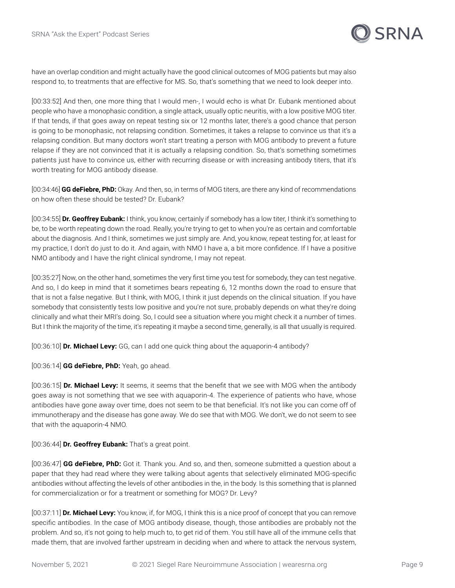

have an overlap condition and might actually have the good clinical outcomes of MOG patients but may also respond to, to treatments that are effective for MS. So, that's something that we need to look deeper into.

[00:33:52] And then, one more thing that I would men-, I would echo is what Dr. Eubank mentioned about people who have a monophasic condition, a single attack, usually optic neuritis, with a low positive MOG titer. If that tends, if that goes away on repeat testing six or 12 months later, there's a good chance that person is going to be monophasic, not relapsing condition. Sometimes, it takes a relapse to convince us that it's a relapsing condition. But many doctors won't start treating a person with MOG antibody to prevent a future relapse if they are not convinced that it is actually a relapsing condition. So, that's something sometimes patients just have to convince us, either with recurring disease or with increasing antibody titers, that it's worth treating for MOG antibody disease.

[00:34:46] **GG deFiebre, PhD:** Okay. And then, so, in terms of MOG titers, are there any kind of recommendations on how often these should be tested? Dr. Eubank?

[00:34:55] **Dr. Geoffrey Eubank:** I think, you know, certainly if somebody has a low titer, I think it's something to be, to be worth repeating down the road. Really, you're trying to get to when you're as certain and comfortable about the diagnosis. And I think, sometimes we just simply are. And, you know, repeat testing for, at least for my practice, I don't do just to do it. And again, with NMO I have a, a bit more confidence. If I have a positive NMO antibody and I have the right clinical syndrome, I may not repeat.

[00:35:27] Now, on the other hand, sometimes the very first time you test for somebody, they can test negative. And so, I do keep in mind that it sometimes bears repeating 6, 12 months down the road to ensure that that is not a false negative. But I think, with MOG, I think it just depends on the clinical situation. If you have somebody that consistently tests low positive and you're not sure, probably depends on what they're doing clinically and what their MRI's doing. So, I could see a situation where you might check it a number of times. But I think the majority of the time, it's repeating it maybe a second time, generally, is all that usually is required.

[00:36:10] **Dr. Michael Levy:** GG, can I add one quick thing about the aquaporin-4 antibody?

[00:36:14] **GG deFiebre, PhD:** Yeah, go ahead.

[00:36:15] **Dr. Michael Levy:** It seems, it seems that the benefit that we see with MOG when the antibody goes away is not something that we see with aquaporin-4. The experience of patients who have, whose antibodies have gone away over time, does not seem to be that beneficial. It's not like you can come off of immunotherapy and the disease has gone away. We do see that with MOG. We don't, we do not seem to see that with the aquaporin-4 NMO.

[00:36:44] **Dr. Geoffrey Eubank:** That's a great point.

[00:36:47] **GG deFiebre, PhD:** Got it. Thank you. And so, and then, someone submitted a question about a paper that they had read where they were talking about agents that selectively eliminated MOG-specific antibodies without affecting the levels of other antibodies in the, in the body. Is this something that is planned for commercialization or for a treatment or something for MOG? Dr. Levy?

[00:37:11] **Dr. Michael Levy:** You know, if, for MOG, I think this is a nice proof of concept that you can remove specific antibodies. In the case of MOG antibody disease, though, those antibodies are probably not the problem. And so, it's not going to help much to, to get rid of them. You still have all of the immune cells that made them, that are involved farther upstream in deciding when and where to attack the nervous system,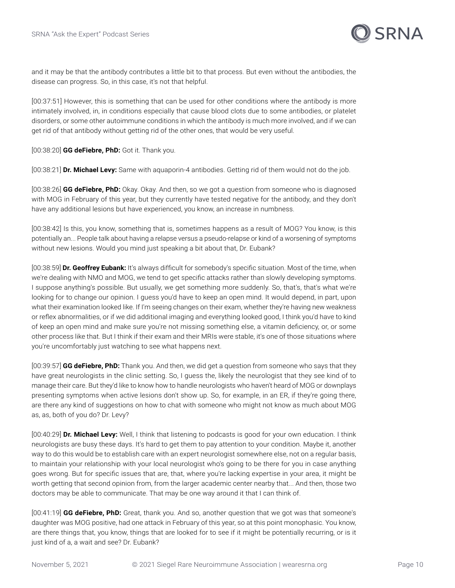

and it may be that the antibody contributes a little bit to that process. But even without the antibodies, the disease can progress. So, in this case, it's not that helpful.

[00:37:51] However, this is something that can be used for other conditions where the antibody is more intimately involved, in, in conditions especially that cause blood clots due to some antibodies, or platelet disorders, or some other autoimmune conditions in which the antibody is much more involved, and if we can get rid of that antibody without getting rid of the other ones, that would be very useful.

[00:38:20] **GG deFiebre, PhD:** Got it. Thank you.

[00:38:21] **Dr. Michael Levy:** Same with aquaporin-4 antibodies. Getting rid of them would not do the job.

[00:38:26] **GG deFiebre, PhD:** Okay. Okay. And then, so we got a question from someone who is diagnosed with MOG in February of this year, but they currently have tested negative for the antibody, and they don't have any additional lesions but have experienced, you know, an increase in numbness.

[00:38:42] Is this, you know, something that is, sometimes happens as a result of MOG? You know, is this potentially an... People talk about having a relapse versus a pseudo-relapse or kind of a worsening of symptoms without new lesions. Would you mind just speaking a bit about that, Dr. Eubank?

[00:38:59] **Dr. Geoffrey Eubank:** It's always difficult for somebody's specific situation. Most of the time, when we're dealing with NMO and MOG, we tend to get specific attacks rather than slowly developing symptoms. I suppose anything's possible. But usually, we get something more suddenly. So, that's, that's what we're looking for to change our opinion. I guess you'd have to keep an open mind. It would depend, in part, upon what their examination looked like. If I'm seeing changes on their exam, whether they're having new weakness or reflex abnormalities, or if we did additional imaging and everything looked good, I think you'd have to kind of keep an open mind and make sure you're not missing something else, a vitamin deficiency, or, or some other process like that. But I think if their exam and their MRIs were stable, it's one of those situations where you're uncomfortably just watching to see what happens next.

[00:39:57] **GG deFiebre, PhD:** Thank you. And then, we did get a question from someone who says that they have great neurologists in the clinic setting. So, I guess the, likely the neurologist that they see kind of to manage their care. But they'd like to know how to handle neurologists who haven't heard of MOG or downplays presenting symptoms when active lesions don't show up. So, for example, in an ER, if they're going there, are there any kind of suggestions on how to chat with someone who might not know as much about MOG as, as, both of you do? Dr. Levy?

[00:40:29] **Dr. Michael Levy:** Well, I think that listening to podcasts is good for your own education. I think neurologists are busy these days. It's hard to get them to pay attention to your condition. Maybe it, another way to do this would be to establish care with an expert neurologist somewhere else, not on a regular basis, to maintain your relationship with your local neurologist who's going to be there for you in case anything goes wrong. But for specific issues that are, that, where you're lacking expertise in your area, it might be worth getting that second opinion from, from the larger academic center nearby that... And then, those two doctors may be able to communicate. That may be one way around it that I can think of.

[00:41:19] **GG deFiebre, PhD:** Great, thank you. And so, another question that we got was that someone's daughter was MOG positive, had one attack in February of this year, so at this point monophasic. You know, are there things that, you know, things that are looked for to see if it might be potentially recurring, or is it just kind of a, a wait and see? Dr. Eubank?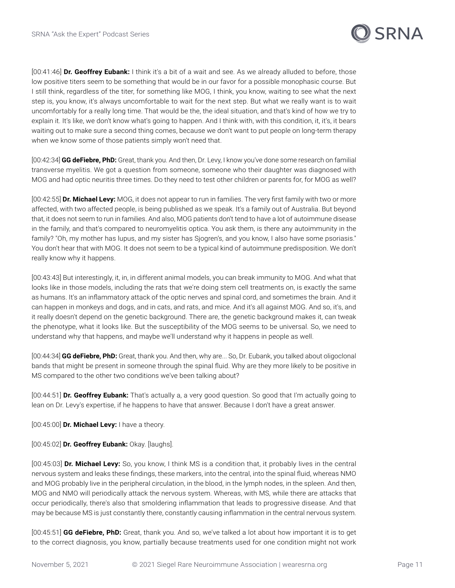

[00:41:46] **Dr. Geoffrey Eubank:** I think it's a bit of a wait and see. As we already alluded to before, those low positive titers seem to be something that would be in our favor for a possible monophasic course. But I still think, regardless of the titer, for something like MOG, I think, you know, waiting to see what the next step is, you know, it's always uncomfortable to wait for the next step. But what we really want is to wait uncomfortably for a really long time. That would be the, the ideal situation, and that's kind of how we try to explain it. It's like, we don't know what's going to happen. And I think with, with this condition, it, it's, it bears waiting out to make sure a second thing comes, because we don't want to put people on long-term therapy when we know some of those patients simply won't need that.

[00:42:34] **GG deFiebre, PhD:** Great, thank you. And then, Dr. Levy, I know you've done some research on familial transverse myelitis. We got a question from someone, someone who their daughter was diagnosed with MOG and had optic neuritis three times. Do they need to test other children or parents for, for MOG as well?

[00:42:55] **Dr. Michael Levy:** MOG, it does not appear to run in families. The very first family with two or more affected, with two affected people, is being published as we speak. It's a family out of Australia. But beyond that, it does not seem to run in families. And also, MOG patients don't tend to have a lot of autoimmune disease in the family, and that's compared to neuromyelitis optica. You ask them, is there any autoimmunity in the family? "Oh, my mother has lupus, and my sister has Sjogren's, and you know, I also have some psoriasis." You don't hear that with MOG. It does not seem to be a typical kind of autoimmune predisposition. We don't really know why it happens.

[00:43:43] But interestingly, it, in, in different animal models, you can break immunity to MOG. And what that looks like in those models, including the rats that we're doing stem cell treatments on, is exactly the same as humans. It's an inflammatory attack of the optic nerves and spinal cord, and sometimes the brain. And it can happen in monkeys and dogs, and in cats, and rats, and mice. And it's all against MOG. And so, it's, and it really doesn't depend on the genetic background. There are, the genetic background makes it, can tweak the phenotype, what it looks like. But the susceptibility of the MOG seems to be universal. So, we need to understand why that happens, and maybe we'll understand why it happens in people as well.

[00:44:34] **GG deFiebre, PhD:** Great, thank you. And then, why are... So, Dr. Eubank, you talked about oligoclonal bands that might be present in someone through the spinal fluid. Why are they more likely to be positive in MS compared to the other two conditions we've been talking about?

[00:44:51] **Dr. Geoffrey Eubank:** That's actually a, a very good question. So good that I'm actually going to lean on Dr. Levy's expertise, if he happens to have that answer. Because I don't have a great answer.

[00:45:00] **Dr. Michael Levy:** I have a theory.

[00:45:02] **Dr. Geoffrey Eubank:** Okay. [laughs].

[00:45:03] **Dr. Michael Levy:** So, you know, I think MS is a condition that, it probably lives in the central nervous system and leaks these findings, these markers, into the central, into the spinal fluid, whereas NMO and MOG probably live in the peripheral circulation, in the blood, in the lymph nodes, in the spleen. And then, MOG and NMO will periodically attack the nervous system. Whereas, with MS, while there are attacks that occur periodically, there's also that smoldering inflammation that leads to progressive disease. And that may be because MS is just constantly there, constantly causing inflammation in the central nervous system.

[00:45:51] **GG deFiebre, PhD:** Great, thank you. And so, we've talked a lot about how important it is to get to the correct diagnosis, you know, partially because treatments used for one condition might not work